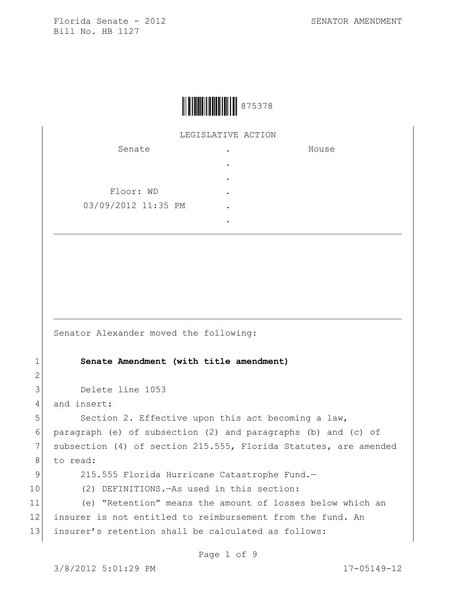

LEGISLATIVE ACTION

| Senate              | ٠ | House |
|---------------------|---|-------|
|                     | ٠ |       |
|                     | ٠ |       |
| Floor: WD           | ٠ |       |
| 03/09/2012 11:35 PM | ٠ |       |
|                     |   |       |

Senator Alexander moved the following:

1 **Senate Amendment (with title amendment)**

3 Delete line 1053

4 and insert:

5 Section 2. Effective upon this act becoming a law, 6 paragraph (e) of subsection (2) and paragraphs (b) and (c) of 7 subsection (4) of section 215.555, Florida Statutes, are amended 8 to read:

2

9 215.555 Florida Hurricane Catastrophe Fund.-

10 (2) DEFINITIONS.—As used in this section:

11 (e) "Retention" means the amount of losses below which an 12 insurer is not entitled to reimbursement from the fund. An 13 insurer's retention shall be calculated as follows:

Page 1 of 9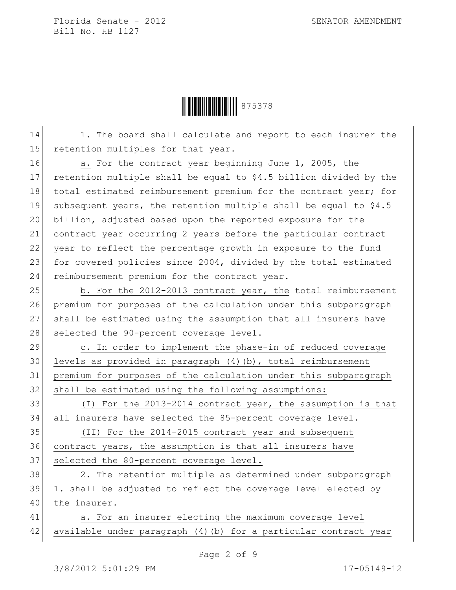

14 1. The board shall calculate and report to each insurer the 15 retention multiples for that year.

16 a. For the contract year beginning June 1, 2005, the 17 retention multiple shall be equal to \$4.5 billion divided by the 18 total estimated reimbursement premium for the contract year; for 19 subsequent years, the retention multiple shall be equal to \$4.5 20 billion, adjusted based upon the reported exposure for the 21 contract year occurring 2 years before the particular contract 22 year to reflect the percentage growth in exposure to the fund 23 for covered policies since 2004, divided by the total estimated 24 reimbursement premium for the contract year.

25 b. For the 2012-2013 contract year, the total reimbursement 26 premium for purposes of the calculation under this subparagraph 27 shall be estimated using the assumption that all insurers have 28 selected the 90-percent coverage level.

29 c. In order to implement the phase-in of reduced coverage 30 levels as provided in paragraph (4)(b), total reimbursement 31 premium for purposes of the calculation under this subparagraph 32 shall be estimated using the following assumptions:

33 (I) For the 2013-2014 contract year, the assumption is that 34 all insurers have selected the 85-percent coverage level.

35 (II) For the 2014-2015 contract year and subsequent 36 contract years, the assumption is that all insurers have 37 selected the 80-percent coverage level.

38 2. The retention multiple as determined under subparagraph 39 1. shall be adjusted to reflect the coverage level elected by 40 the insurer.

41 a. For an insurer electing the maximum coverage level 42 available under paragraph (4)(b) for a particular contract year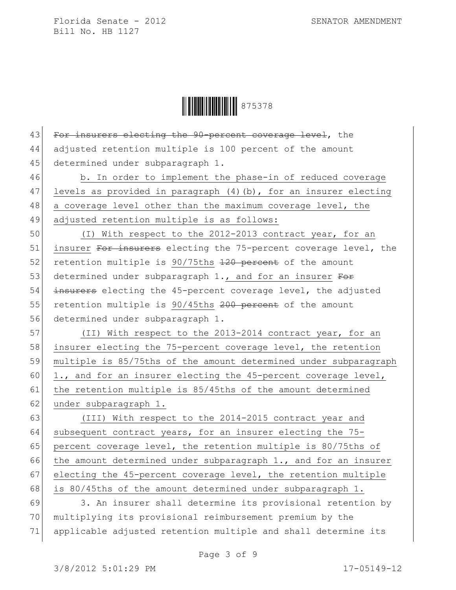**HEIRE S75378** 

43 For insurers electing the 90-percent coverage level, the 44 adjusted retention multiple is 100 percent of the amount 45 determined under subparagraph 1. 46 b. In order to implement the phase-in of reduced coverage 47 levels as provided in paragraph (4)(b), for an insurer electing 48 a coverage level other than the maximum coverage level, the 49 adjusted retention multiple is as follows:

50 (I) With respect to the 2012-2013 contract year, for an 51 insurer For insurers electing the 75-percent coverage level, the 52 retention multiple is 90/75ths 120 percent of the amount 53 determined under subparagraph 1., and for an insurer For 54 insurers electing the 45-percent coverage level, the adjusted 55 retention multiple is 90/45ths 200 percent of the amount 56 determined under subparagraph 1.

57 (II) With respect to the 2013-2014 contract year, for an 58 insurer electing the 75-percent coverage level, the retention 59 multiple is 85/75ths of the amount determined under subparagraph 60 1., and for an insurer electing the 45-percent coverage level, 61 the retention multiple is 85/45ths of the amount determined 62 under subparagraph 1.

63 (III) With respect to the 2014-2015 contract year and 64 subsequent contract years, for an insurer electing the  $75-$ 65 percent coverage level, the retention multiple is 80/75ths of 66 the amount determined under subparagraph 1., and for an insurer 67 electing the 45-percent coverage level, the retention multiple 68 is 80/45ths of the amount determined under subparagraph 1.

69 3. An insurer shall determine its provisional retention by 70 multiplying its provisional reimbursement premium by the 71 applicable adjusted retention multiple and shall determine its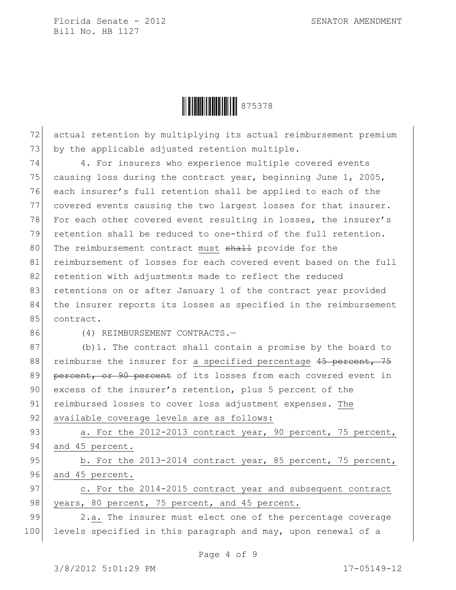

72 actual retention by multiplying its actual reimbursement premium 73 by the applicable adjusted retention multiple.

74 4. For insurers who experience multiple covered events 75 causing loss during the contract year, beginning June  $1$ , 2005, 76 each insurer's full retention shall be applied to each of the 77 covered events causing the two largest losses for that insurer. 78 For each other covered event resulting in losses, the insurer's 79 retention shall be reduced to one-third of the full retention. 80 The reimbursement contract must shall provide for the 81 reimbursement of losses for each covered event based on the full 82 retention with adjustments made to reflect the reduced 83 retentions on or after January 1 of the contract year provided 84 the insurer reports its losses as specified in the reimbursement 85 contract.

86 (4) REIMBURSEMENT CONTRACTS.-

 $87$  (b)1. The contract shall contain a promise by the board to 88 reimburse the insurer for a specified percentage 45 percent, 75 89 percent, or 90 percent of its losses from each covered event in 90 excess of the insurer's retention, plus 5 percent of the 91 reimbursed losses to cover loss adjustment expenses. The 92 available coverage levels are as follows:

93 a. For the 2012-2013 contract year, 90 percent, 75 percent, 94 and 45 percent.

95 b. For the 2013-2014 contract year, 85 percent, 75 percent, 96 and 45 percent.

97 c. For the 2014-2015 contract year and subsequent contract 98 years, 80 percent, 75 percent, and 45 percent.

99 2.a. The insurer must elect one of the percentage coverage 100 levels specified in this paragraph and may, upon renewal of a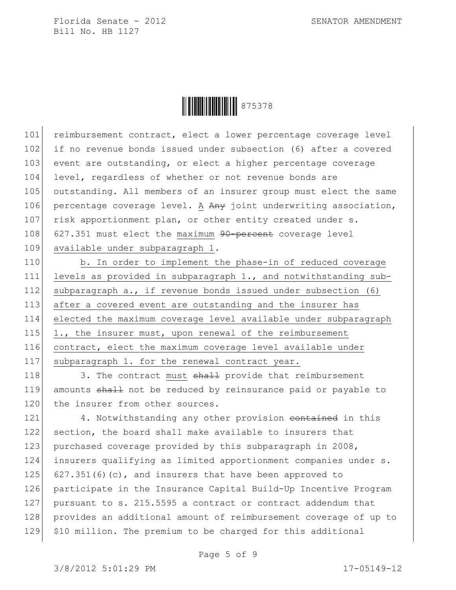**HEIRE REPORTS 1989** 

101 reimbursement contract, elect a lower percentage coverage level 102 if no revenue bonds issued under subsection (6) after a covered 103 event are outstanding, or elect a higher percentage coverage 104 level, regardless of whether or not revenue bonds are 105 outstanding. All members of an insurer group must elect the same 106 percentage coverage level. A Any joint underwriting association, 107 risk apportionment plan, or other entity created under s. 108 627.351 must elect the maximum 90-percent coverage level 109 available under subparagraph 1.

110 b. In order to implement the phase-in of reduced coverage 111 levels as provided in subparagraph 1., and notwithstanding sub-112 subparagraph a., if revenue bonds issued under subsection (6) 113 after a covered event are outstanding and the insurer has 114 elected the maximum coverage level available under subparagraph 115 1., the insurer must, upon renewal of the reimbursement 116 contract, elect the maximum coverage level available under 117 subparagraph 1. for the renewal contract year.

118 3. The contract must shall provide that reimbursement 119 amounts shall not be reduced by reinsurance paid or payable to 120 the insurer from other sources.

121 4. Notwithstanding any other provision contained in this 122 section, the board shall make available to insurers that 123 purchased coverage provided by this subparagraph in 2008, 124 insurers qualifying as limited apportionment companies under s. 125 627.351(6)(c), and insurers that have been approved to 126 participate in the Insurance Capital Build-Up Incentive Program 127 pursuant to s. 215.5595 a contract or contract addendum that 128 provides an additional amount of reimbursement coverage of up to 129 \$10 million. The premium to be charged for this additional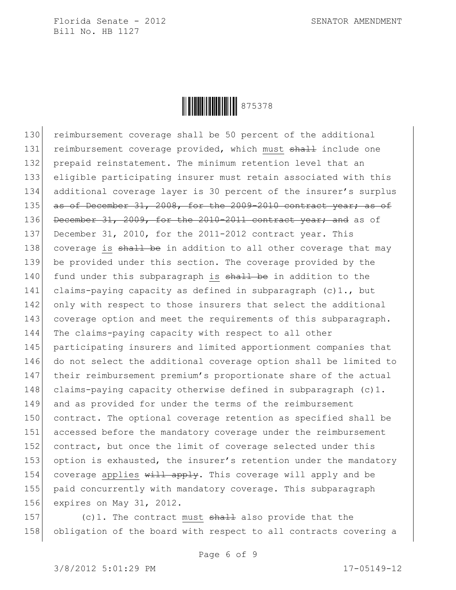

130 reimbursement coverage shall be 50 percent of the additional 131 reimbursement coverage provided, which must shall include one 132 prepaid reinstatement. The minimum retention level that an 133 eligible participating insurer must retain associated with this 134 additional coverage layer is 30 percent of the insurer's surplus 135 as of December 31, 2008, for the 2009-2010 contract year; as of 136 December 31, 2009, for the 2010-2011 contract year; and as of 137 December 31, 2010, for the 2011-2012 contract year. This 138 coverage is shall be in addition to all other coverage that may 139 be provided under this section. The coverage provided by the 140 fund under this subparagraph is shall be in addition to the 141 claims-paying capacity as defined in subparagraph  $(c)$ 1., but 142 only with respect to those insurers that select the additional 143 coverage option and meet the requirements of this subparagraph. 144 The claims-paying capacity with respect to all other 145 participating insurers and limited apportionment companies that 146 do not select the additional coverage option shall be limited to 147 their reimbursement premium's proportionate share of the actual 148 claims-paying capacity otherwise defined in subparagraph (c)1. 149 and as provided for under the terms of the reimbursement 150 contract. The optional coverage retention as specified shall be 151 accessed before the mandatory coverage under the reimbursement 152 contract, but once the limit of coverage selected under this 153 option is exhausted, the insurer's retention under the mandatory 154 coverage applies will apply. This coverage will apply and be 155 paid concurrently with mandatory coverage. This subparagraph 156 expires on May 31, 2012.

157 (c)1. The contract must  $shall$  also provide that the 158 obligation of the board with respect to all contracts covering a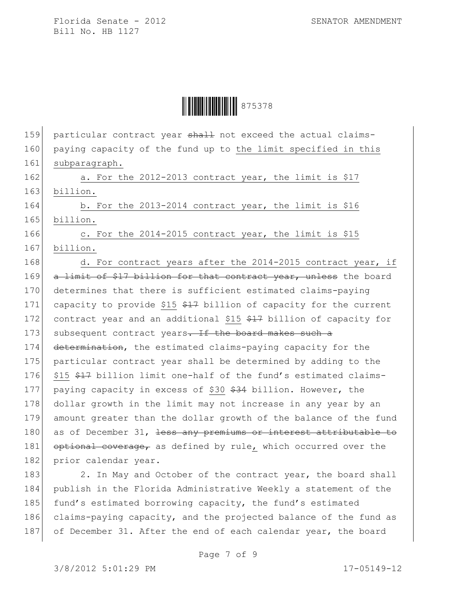**WINGHT 875378** 

159 particular contract year shall not exceed the actual claims-160 paying capacity of the fund up to the limit specified in this 161 subparagraph. 162 a. For the 2012-2013 contract year, the limit is \$17 163 billion. 164 b. For the 2013-2014 contract year, the limit is \$16 165 billion. 166 c. For the 2014-2015 contract year, the limit is \$15 167 billion. 168 d. For contract years after the 2014-2015 contract year, if 169 a limit of \$17 billion for that contract year, unless the board 170 determines that there is sufficient estimated claims-paying 171 capacity to provide \$15  $$17$  billion of capacity for the current 172 contract year and an additional \$15 \$17 billion of capacity for 173 subsequent contract years. If the board makes such a 174 determination, the estimated claims-paying capacity for the 175 particular contract year shall be determined by adding to the 176 \$15 \$47 billion limit one-half of the fund's estimated claims-177 paying capacity in excess of \$30 \$34 billion. However, the 178 dollar growth in the limit may not increase in any year by an 179 amount greater than the dollar growth of the balance of the fund 180 as of December 31, <del>less any premiums or interest attributable to</del> 181 optional coverage, as defined by rule, which occurred over the 182 prior calendar year. 183 2. In May and October of the contract year, the board shall 184 publish in the Florida Administrative Weekly a statement of the

185 fund's estimated borrowing capacity, the fund's estimated 186 claims-paying capacity, and the projected balance of the fund as 187 of December 31. After the end of each calendar year, the board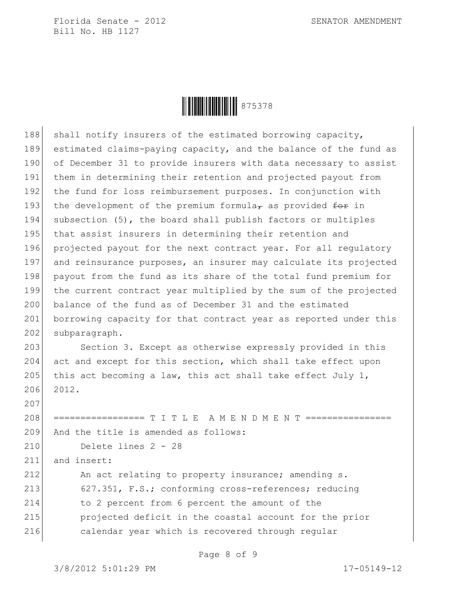

188 shall notify insurers of the estimated borrowing capacity, 189 estimated claims-paying capacity, and the balance of the fund as 190 of December 31 to provide insurers with data necessary to assist 191 them in determining their retention and projected payout from 192 the fund for loss reimbursement purposes. In conjunction with 193 the development of the premium formula<sub> $\tau$ </sub> as provided  $f$ or in 194 subsection (5), the board shall publish factors or multiples 195 that assist insurers in determining their retention and 196 projected payout for the next contract year. For all regulatory 197 and reinsurance purposes, an insurer may calculate its projected 198 payout from the fund as its share of the total fund premium for 199 the current contract year multiplied by the sum of the projected 200 balance of the fund as of December 31 and the estimated 201 borrowing capacity for that contract year as reported under this 202 subparagraph. 203 Section 3. Except as otherwise expressly provided in this 204 act and except for this section, which shall take effect upon 205 this act becoming a law, this act shall take effect July 1, 206 2012. 207 208 ================ T I T L E A M E N D M E N T =============== 209 And the title is amended as follows: 210 Delete lines 2 - 28 211 and insert: 212 An act relating to property insurance; amending s. 213 627.351, F.S.; conforming cross-references; reducing 214 to 2 percent from 6 percent the amount of the 215 projected deficit in the coastal account for the prior 216 calendar year which is recovered through regular

Page 8 of 9